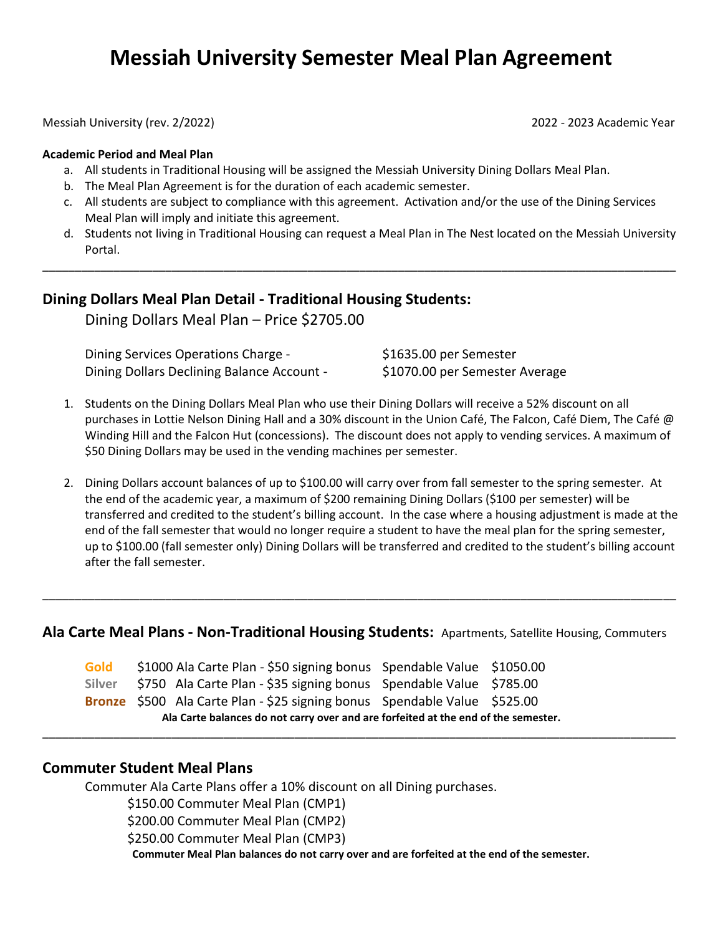# **Messiah University Semester Meal Plan Agreement**

Messiah University (rev. 2/2022) 2022 - 2023 Academic Year

#### **Academic Period and Meal Plan**

- a. All students in Traditional Housing will be assigned the Messiah University Dining Dollars Meal Plan.
- b. The Meal Plan Agreement is for the duration of each academic semester.
- c. All students are subject to compliance with this agreement. Activation and/or the use of the Dining Services Meal Plan will imply and initiate this agreement.

\_\_\_\_\_\_\_\_\_\_\_\_\_\_\_\_\_\_\_\_\_\_\_\_\_\_\_\_\_\_\_\_\_\_\_\_\_\_\_\_\_\_\_\_\_\_\_\_\_\_\_\_\_\_\_\_\_\_\_\_\_\_\_\_\_\_\_\_\_\_\_\_\_\_\_\_\_\_\_\_\_\_\_\_\_\_\_\_\_\_\_\_\_\_\_\_\_\_

d. Students not living in Traditional Housing can request a Meal Plan in The Nest located on the Messiah University Portal.

### **Dining Dollars Meal Plan Detail - Traditional Housing Students:**

Dining Dollars Meal Plan – Price \$2705.00

| Dining Services Operations Charge -        | \$1635.00 per Semester         |
|--------------------------------------------|--------------------------------|
| Dining Dollars Declining Balance Account - | \$1070.00 per Semester Average |

- 1. Students on the Dining Dollars Meal Plan who use their Dining Dollars will receive a 52% discount on all purchases in Lottie Nelson Dining Hall and a 30% discount in the Union Café, The Falcon, Café Diem, The Café @ Winding Hill and the Falcon Hut (concessions).The discount does not apply to vending services. A maximum of \$50 Dining Dollars may be used in the vending machines per semester.
- 2. Dining Dollars account balances of up to \$100.00 will carry over from fall semester to the spring semester. At the end of the academic year, a maximum of \$200 remaining Dining Dollars (\$100 per semester) will be transferred and credited to the student's billing account. In the case where a housing adjustment is made at the end of the fall semester that would no longer require a student to have the meal plan for the spring semester, up to \$100.00 (fall semester only) Dining Dollars will be transferred and credited to the student's billing account after the fall semester.

#### **Ala Carte Meal Plans - Non-Traditional Housing Students:** Apartments, Satellite Housing, Commuters

\_\_\_\_\_\_\_\_\_\_\_\_\_\_\_\_\_\_\_\_\_\_\_\_\_\_\_\_\_\_\_\_\_\_\_\_\_\_\_\_\_\_\_\_\_\_\_\_\_\_\_\_\_\_\_\_\_\_\_\_\_\_\_\_\_\_\_\_\_\_\_\_\_\_\_\_\_\_\_\_\_\_\_\_\_\_\_\_\_\_\_\_\_\_\_\_\_\_

\_\_\_\_\_\_\_\_\_\_\_\_\_\_\_\_\_\_\_\_\_\_\_\_\_\_\_\_\_\_\_\_\_\_\_\_\_\_\_\_\_\_\_\_\_\_\_\_\_\_\_\_\_\_\_\_\_\_\_\_\_\_\_\_\_\_\_\_\_\_\_\_\_\_\_\_\_\_\_\_\_\_\_\_\_\_\_\_\_\_\_\_\_\_\_\_\_\_

|  |  | Bronze \$500 Ala Carte Plan - \$25 signing bonus Spendable Value \$525.00 |  |
|--|--|---------------------------------------------------------------------------|--|
|  |  | Silver \$750 Ala Carte Plan - \$35 signing bonus Spendable Value \$785.00 |  |

#### **Commuter Student Meal Plans**

Commuter Ala Carte Plans offer a 10% discount on all Dining purchases.

\$150.00 Commuter Meal Plan (CMP1)

\$200.00 Commuter Meal Plan (CMP2)

\$250.00 Commuter Meal Plan (CMP3)

**Commuter Meal Plan balances do not carry over and are forfeited at the end of the semester.**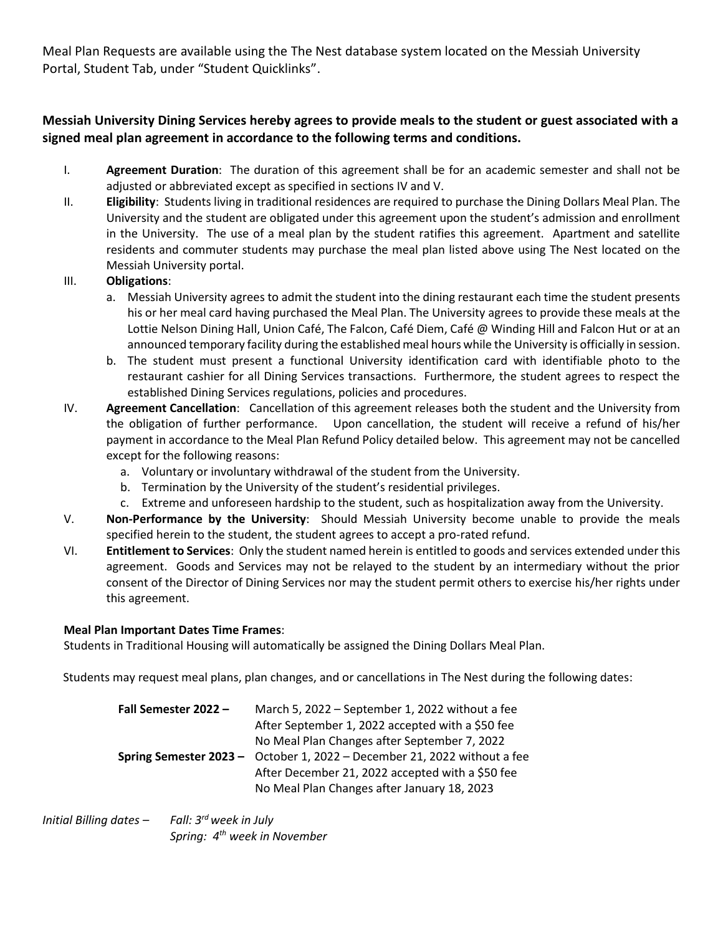Meal Plan Requests are available using the The Nest database system located on the Messiah University Portal, Student Tab, under "Student Quicklinks".

## **Messiah University Dining Services hereby agrees to provide meals to the student or guest associated with a signed meal plan agreement in accordance to the following terms and conditions.**

- I. **Agreement Duration**: The duration of this agreement shall be for an academic semester and shall not be adjusted or abbreviated except as specified in sections IV and V.
- II. **Eligibility**: Students living in traditional residences are required to purchase the Dining Dollars Meal Plan. The University and the student are obligated under this agreement upon the student's admission and enrollment in the University. The use of a meal plan by the student ratifies this agreement. Apartment and satellite residents and commuter students may purchase the meal plan listed above using The Nest located on the Messiah University portal.

#### III. **Obligations**:

- a. Messiah University agrees to admit the student into the dining restaurant each time the student presents his or her meal card having purchased the Meal Plan. The University agrees to provide these meals at the Lottie Nelson Dining Hall, Union Café, The Falcon, Café Diem, Café @ Winding Hill and Falcon Hut or at an announced temporary facility during the established meal hours while the University is officially in session.
- b. The student must present a functional University identification card with identifiable photo to the restaurant cashier for all Dining Services transactions. Furthermore, the student agrees to respect the established Dining Services regulations, policies and procedures.
- IV. **Agreement Cancellation**: Cancellation of this agreement releases both the student and the University from the obligation of further performance. Upon cancellation, the student will receive a refund of his/her payment in accordance to the Meal Plan Refund Policy detailed below. This agreement may not be cancelled except for the following reasons:
	- a. Voluntary or involuntary withdrawal of the student from the University.
	- b. Termination by the University of the student's residential privileges.
	- c. Extreme and unforeseen hardship to the student, such as hospitalization away from the University.
- V. **Non-Performance by the University**: Should Messiah University become unable to provide the meals specified herein to the student, the student agrees to accept a pro-rated refund.
- VI. **Entitlement to Services**: Only the student named herein is entitled to goods and services extended under this agreement. Goods and Services may not be relayed to the student by an intermediary without the prior consent of the Director of Dining Services nor may the student permit others to exercise his/her rights under this agreement.

#### **Meal Plan Important Dates Time Frames**:

Students in Traditional Housing will automatically be assigned the Dining Dollars Meal Plan.

Students may request meal plans, plan changes, and or cancellations in The Nest during the following dates:

| Fall Semester 2022 - | March 5, 2022 - September 1, 2022 without a fee                          |
|----------------------|--------------------------------------------------------------------------|
|                      | After September 1, 2022 accepted with a \$50 fee                         |
|                      | No Meal Plan Changes after September 7, 2022                             |
|                      | Spring Semester 2023 - October 1, 2022 - December 21, 2022 without a fee |
|                      | After December 21, 2022 accepted with a \$50 fee                         |
|                      | No Meal Plan Changes after January 18, 2023                              |

#### *Initial Billing dates* – *rd week in July Spring: 4 th week in November*